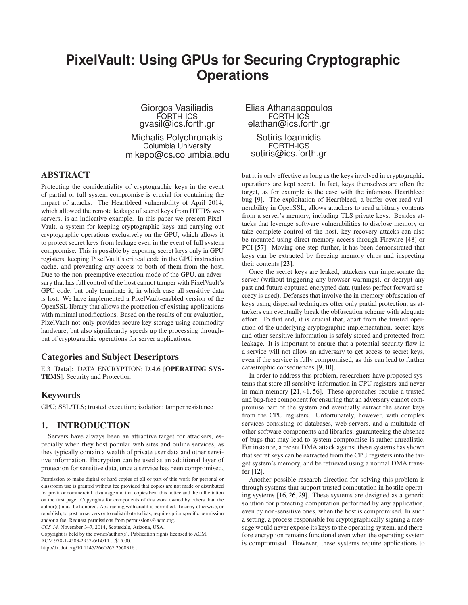# **PixelVault: Using GPUs for Securing Cryptographic Operations**

Giorgos Vasiliadis FORTH-ICS gvasil@ics.forth.gr

Michalis Polychronakis Columbia University mikepo@cs.columbia.edu

# **ABSTRACT**

Protecting the confidentiality of cryptographic keys in the event of partial or full system compromise is crucial for containing the impact of attacks. The Heartbleed vulnerability of April 2014, which allowed the remote leakage of secret keys from HTTPS web servers, is an indicative example. In this paper we present Pixel-Vault, a system for keeping cryptographic keys and carrying out cryptographic operations exclusively on the GPU, which allows it to protect secret keys from leakage even in the event of full system compromise. This is possible by exposing secret keys only in GPU registers, keeping PixelVault's critical code in the GPU instruction cache, and preventing any access to both of them from the host. Due to the non-preemptive execution mode of the GPU, an adversary that has full control of the host cannot tamper with PixelVault's GPU code, but only terminate it, in which case all sensitive data is lost. We have implemented a PixelVault-enabled version of the OpenSSL library that allows the protection of existing applications with minimal modifications. Based on the results of our evaluation, PixelVault not only provides secure key storage using commodity hardware, but also significantly speeds up the processing throughput of cryptographic operations for server applications.

# **Categories and Subject Descriptors**

E.3 [**Data**]: DATA ENCRYPTION; D.4.6 [**OPERATING SYS-TEMS**]: Security and Protection

# **Keywords**

GPU; SSL/TLS; trusted execution; isolation; tamper resistance

## **1. INTRODUCTION**

Servers have always been an attractive target for attackers, especially when they host popular web sites and online services, as they typically contain a wealth of private user data and other sensitive information. Encryption can be used as an additional layer of protection for sensitive data, once a service has been compromised,

Copyright is held by the owner/author(s). Publication rights licensed to ACM.

ACM 978-1-4503-2957-6/14/11 ...\$15.00.

http://dx.doi.org/10.1145/2660267.2660316 .

Elias Athanasopoulos FORTH-ICS elathan@ics.forth.gr Sotiris Ioannidis FORTH-ICS sotiris@ics.forth.gr

but it is only effective as long as the keys involved in cryptographic operations are kept secret. In fact, keys themselves are often the target, as for example is the case with the infamous Heartbleed bug [\[9\]](#page-10-0). The exploitation of Heartbleed, a buffer over-read vulnerability in OpenSSL, allows attackers to read arbitrary contents from a server's memory, including TLS private keys. Besides attacks that leverage software vulnerabilities to disclose memory or take complete control of the host, key recovery attacks can also be mounted using direct memory access through Firewire [\[48\]](#page-11-0) or PCI [\[57\]](#page-11-1). Moving one step further, it has been demonstrated that keys can be extracted by freezing memory chips and inspecting their contents [\[23\]](#page-11-2).

Once the secret keys are leaked, attackers can impersonate the server (without triggering any browser warnings), or decrypt any past and future captured encrypted data (unless perfect forward secrecy is used). Defenses that involve the in-memory obfuscation of keys using dispersal techniques offer only partial protection, as attackers can eventually break the obfuscation scheme with adequate effort. To that end, it is crucial that, apart from the trusted operation of the underlying cryptographic implementation, secret keys and other sensitive information is safely stored and protected from leakage. It is important to ensure that a potential security flaw in a service will not allow an adversary to get access to secret keys, even if the service is fully compromised, as this can lead to further catastrophic consequences [\[9,](#page-10-0) [10\]](#page-10-1).

In order to address this problem, researchers have proposed systems that store all sensitive information in CPU registers and never in main memory [\[21,](#page-10-2) [41,](#page-11-3) [56\]](#page-11-4). These approaches require a trusted and bug-free component for ensuring that an adversary cannot compromise part of the system and eventually extract the secret keys from the CPU registers. Unfortunately, however, with complex services consisting of databases, web servers, and a multitude of other software components and libraries, guaranteeing the absence of bugs that may lead to system compromise is rather unrealistic. For instance, a recent DMA attack against these systems has shown that secret keys can be extracted from the CPU registers into the target system's memory, and be retrieved using a normal DMA transfer [\[12\]](#page-10-3).

Another possible research direction for solving this problem is through systems that support trusted computation in hostile operating systems [\[16,](#page-10-4) [26,](#page-11-5) [29\]](#page-11-6). These systems are designed as a generic solution for protecting computation performed by any application, even by non-sensitive ones, when the host is compromised. In such a setting, a process responsible for cryptographically signing a message would never expose its keys to the operating system, and therefore encryption remains functional even when the operating system is compromised. However, these systems require applications to

Permission to make digital or hard copies of all or part of this work for personal or classroom use is granted without fee provided that copies are not made or distributed for profit or commercial advantage and that copies bear this notice and the full citation on the first page. Copyrights for components of this work owned by others than the author(s) must be honored. Abstracting with credit is permitted. To copy otherwise, or republish, to post on servers or to redistribute to lists, requires prior specific permission and/or a fee. Request permissions from permissions@acm.org.

*CCS'14,* November 3–7, 2014, Scottsdale, Arizona, USA.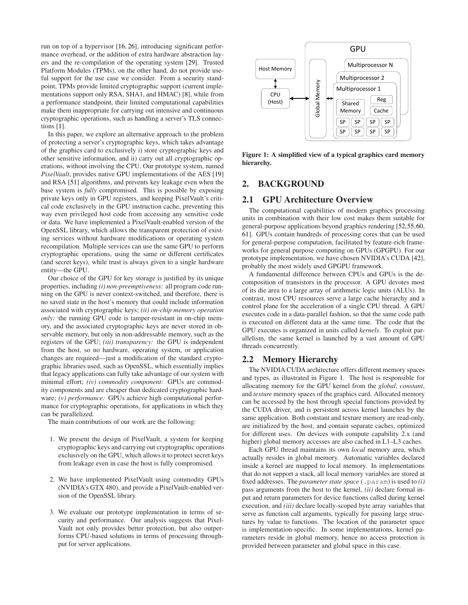run on top of a hypervisor [\[16,](#page-10-4) [26\]](#page-11-5), introducing significant performance overhead, or the addition of extra hardware abstraction layers and the re-compilation of the operating system [\[29\]](#page-11-6). Trusted Platform Modules (TPMs), on the other hand, do not provide useful support for the use case we consider. From a security standpoint, TPMs provide limited cryptographic support (current implementations support only RSA, SHA1, and HMAC) [\[8\]](#page-10-5), while from a performance standpoint, their limited computational capabilities make them inappropriate for carrying out intensive and continuous cryptographic operations, such as handling a server's TLS connections [\[1\]](#page-10-6).

In this paper, we explore an alternative approach to the problem of protecting a server's cryptographic keys, which takes advantage of the graphics card to exclusively i) store cryptographic keys and other sensitive information, and ii) carry out all cryptographic operations, without involving the CPU. Our prototype system, named *PixelVault*, provides native GPU implementations of the AES [\[19\]](#page-10-7) and RSA [\[51\]](#page-11-7) algorithms, and prevents key leakage even when the base system is *fully* compromised. This is possible by exposing private keys only in GPU registers, and keeping PixelVault's critical code exclusively in the GPU instruction cache, preventing this way even privileged host code from accessing any sensitive code or data. We have implemented a PixelVault-enabled version of the OpenSSL library, which allows the transparent protection of existing services without hardware modifications or operating system recompilation. Multiple services can use the same GPU to perform cryptographic operations, using the same or different certificates (and secret keys), while trust is always given to a single hardware entity—the GPU.

Our choice of the GPU for key storage is justified by its unique properties, including *(i) non-preemptiveness:* all program code running on the GPU is never context-switched, and therefore, there is no saved state in the host's memory that could include information associated with cryptographic keys; *(ii) on-chip memory operation only:* the running GPU code is tamper-resistant in on-chip memory, and the associated cryptographic keys are never stored in observable memory, but only in non-addressable memory, such as the registers of the GPU; *(iii) transparency:* the GPU is independent from the host, so no hardware, operating system, or application changes are required—just a modification of the standard cryptographic libraries used, such as OpenSSL, which essentially implies that legacy applications can fully take advantage of our system with minimal effort; *(iv) commodity component:* GPUs are commodity components and are cheaper than dedicated cryptographic hardware; *(v) performance:* GPUs achieve high computational performance for cryptographic operations, for applications in which they can be parallelized.

The main contributions of our work are the following:

- 1. We present the design of PixelVault, a system for keeping cryptographic keys and carrying out cryptographic operations exclusively on the GPU, which allows it to protect secret keys from leakage even in case the host is fully compromised.
- 2. We have implemented PixelVault using commodity GPUs (NVIDIA's GTX 480), and provide a PixelVault-enabled version of the OpenSSL library.
- 3. We evaluate our prototype implementation in terms of security and performance. Our analysis suggests that Pixel-Vault not only provides better protection, but also outperforms CPU-based solutions in terms of processing throughput for server applications.



<span id="page-1-0"></span>**Figure 1: A simplified view of a typical graphics card memory hierarchy.**

## <span id="page-1-1"></span>**2. BACKGROUND**

#### **2.1 GPU Architecture Overview**

The computational capabilities of modern graphics processing units in combination with their low cost makes them suitable for general-purpose applications beyond graphics rendering [\[52,](#page-11-8)[55,](#page-11-9)[60,](#page-11-10) [61\]](#page-11-11). GPUs contain hundreds of processing cores that can be used for general-purpose computation, facilitated by feature-rich frameworks for general purpose computing on GPUs (GPGPU). For our prototype implementation, we have chosen NVIDIA's CUDA [\[42\]](#page-11-12), probably the most widely used GPGPU framework.

A fundamental difference between CPUs and GPUs is the decomposition of transistors in the processor. A GPU devotes most of its die area to a large array of arithmetic logic units (ALUs). In contrast, most CPU resources serve a large cache hierarchy and a control plane for the acceleration of a single CPU thread. A GPU executes code in a data-parallel fashion, so that the same code path is executed on different data at the same time. The code that the GPU executes is organized in units called *kernels*. To exploit parallelism, the same kernel is launched by a vast amount of GPU threads concurrently.

## **2.2 Memory Hierarchy**

The NVIDIA CUDA architecture offers different memory spaces and types, as illustrated in Figure [1.](#page-1-0) The host is responsible for allocating memory for the GPU kernel from the *global*, *constant*, and *texture* memory spaces of the graphics card. Allocated memory can be accessed by the host through special functions provided by the CUDA driver, and is persistent across kernel launches by the same application. Both constant and texture memory are read-only, are initialized by the host, and contain separate caches, optimized for different uses. On devices with compute capability 2.x (and higher) global memory accesses are also cached in L1–L3 caches.

Each GPU thread maintains its own *local* memory area, which actually resides in global memory. Automatic variables declared inside a kernel are mapped to local memory. In implementations that do not support a stack, all local memory variables are stored at fixed addresses. The *parameter state space* (.param) is used to *(i)* pass arguments from the host to the kernel, *(ii)* declare formal input and return parameters for device functions called during kernel execution, and *(iii)* declare locally-scoped byte array variables that serve as function call arguments, typically for passing large structures by value to functions. The location of the parameter space is implementation-specific. In some implementations, kernel parameters reside in global memory, hence no access protection is provided between parameter and global space in this case.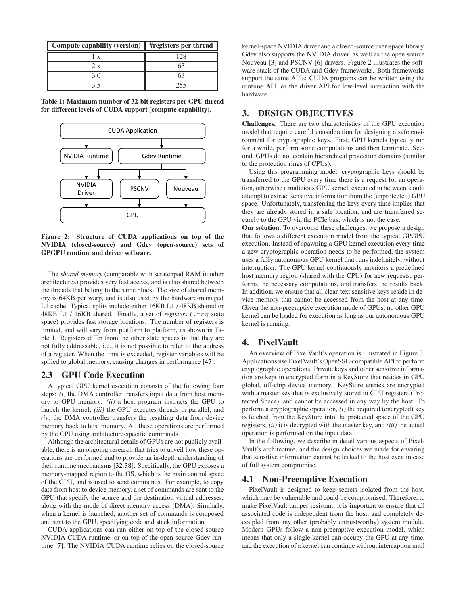| Compute capability (version) | #registers per thread |
|------------------------------|-----------------------|
| 1.x                          | 128                   |
| 2.x                          | 63                    |
| 3 በ                          | 63                    |
|                              |                       |

**Table 1: Maximum number of 32-bit registers per GPU thread for different levels of CUDA support (compute capability).**

<span id="page-2-0"></span>

<span id="page-2-1"></span>**Figure 2: Structure of CUDA applications on top of the NVIDIA (closed-source) and Gdev (open-source) sets of GPGPU runtime and driver software.**

The *shared memory* (comparable with scratchpad RAM in other architectures) provides very fast access, and is also shared between the threads that belong to the same block. The size of shared memory is 64KB per warp, and is also used by the hardware-managed L1 cache. Typical splits include either 16KB L1 / 48KB shared or 48KB L1 / 16KB shared. Finally, a set of *registers* (.reg state space) provides fast storage locations. The number of registers is limited, and will vary from platform to platform, as shown in Table [1.](#page-2-0) Registers differ from the other state spaces in that they are not fully addressable, i.e., it is not possible to refer to the address of a register. When the limit is exceeded, register variables will be spilled to global memory, causing changes in performance [\[47\]](#page-11-13).

#### **2.3 GPU Code Execution**

A typical GPU kernel execution consists of the following four steps: *(i)* the DMA controller transfers input data from host memory to GPU memory; *(ii)* a host program instructs the GPU to launch the kernel; *(iii)* the GPU executes threads in parallel; and *(iv)* the DMA controller transfers the resulting data from device memory back to host memory. All these operations are performed by the CPU using architecture-specific commands.

Although the architectural details of GPUs are not publicly available, there is an ongoing research that tries to unveil how these operations are performed and to provide an in-depth understanding of their runtime mechanisms [\[32,](#page-11-14)[38\]](#page-11-15). Specifically, the GPU exposes a memory-mapped region to the OS, which is the main control space of the GPU, and is used to send commands. For example, to copy data from host to device memory, a set of commands are sent to the GPU that specify the source and the destination virtual addresses, along with the mode of direct memory access (DMA). Similarly, when a kernel is launched, another set of commands is composed and sent to the GPU, specifying code and stack information.

CUDA applications can run either on top of the closed-source NVIDIA CUDA runtime, or on top of the open-source Gdev runtime [\[7\]](#page-10-8). The NVIDIA CUDA runtime relies on the closed-source kernel-space NVIDIA driver and a closed-source user-space library. Gdev also supports the NVIDIA driver, as well as the open source Nouveau [\[3\]](#page-10-9) and PSCNV [\[6\]](#page-10-10) drivers. Figure [2](#page-2-1) illustrates the software stack of the CUDA and Gdev frameworks. Both frameworks support the same APIs: CUDA programs can be written using the runtime API, or the driver API for low-level interaction with the hardware.

# **3. DESIGN OBJECTIVES**

**Challenges.** There are two characteristics of the GPU execution model that require careful consideration for designing a safe environment for cryptographic keys. First, GPU kernels typically run for a while, perform some computations and then terminate. Second, GPUs do not contain hierarchical protection domains (similar to the protection rings of CPUs).

Using this programming model, cryptographic keys should be transferred to the GPU every time there is a request for an operation, otherwise a malicious GPU kernel, executed in between, could attempt to extract sensitive information from the (unprotected) GPU space. Unfortunately, transferring the keys every time implies that they are already stored in a safe location, and are transferred securely to the GPU via the PCIe bus, which is not the case.

**Our solution.** To overcome these challenges, we propose a design that follows a different execution model from the typical GPGPU execution. Instead of spawning a GPU kernel execution every time a new cryptographic operation needs to be performed, the system uses a fully autonomous GPU kernel that runs indefinitely, without interruption. The GPU kernel continuously monitors a predefined host memory region (shared with the CPU) for new requests, performs the necessary computations, and transfers the results back. In addition, we ensure that all clear-text sensitive keys reside in device memory that cannot be accessed from the host at any time. Given the non-preemptive execution mode of GPUs, no other GPU kernel can be loaded for execution as long as our autonomous GPU kernel is running.

#### **4. PixelVault**

An overview of PixelVault's operation is illustrated in Figure [3.](#page-3-0) Applications use PixelVault's OpenSSL-compatible API to perform cryptographic operations. Private keys and other sensitive information are kept in encrypted form in a KeyStore that resides in GPU global, off-chip device memory. KeyStore entries are encrypted with a master key that is exclusively stored in GPU registers (Protected Space), and cannot be accessed in any way by the host. To perform a cryptographic operation, *(i)* the required (encrypted) key is fetched from the KeyStore into the protected space of the GPU registers, *(ii)* it is decrypted with the master key, and *(iii)* the actual operation is performed on the input data.

In the following, we describe in detail various aspects of Pixel-Vault's architecture, and the design choices we made for ensuring that sensitive information cannot be leaked to the host even in case of full system compromise.

#### <span id="page-2-2"></span>**4.1 Non-Preemptive Execution**

PixelVault is designed to keep secrets isolated from the host, which may be vulnerable and could be compromised. Therefore, to make PixelVault tamper resistant, it is important to ensure that all associated code is independent from the host, and completely decoupled from any other (probably untrustworthy) system module. Modern GPUs follow a non-preemptive execution model, which means that only a single kernel can occupy the GPU at any time, and the execution of a kernel can continue without interruption until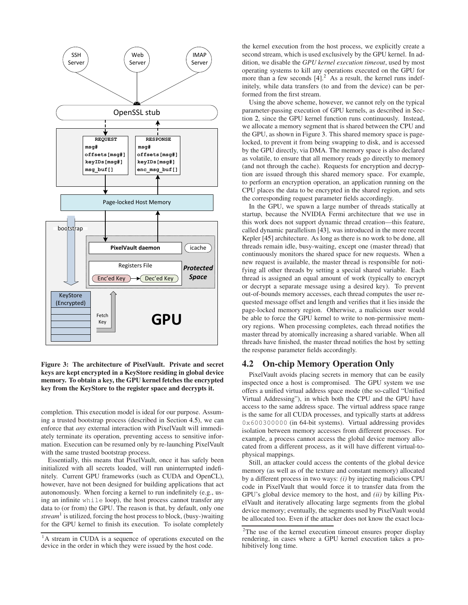

<span id="page-3-0"></span>**Figure 3: The architecture of PixelVault. Private and secret keys are kept encrypted in a KeyStore residing in global device memory. To obtain a key, the GPU kernel fetches the encrypted key from the KeyStore to the register space and decrypts it.**

completion. This execution model is ideal for our purpose. Assuming a trusted bootstrap process (described in Section [4.5\)](#page-5-0), we can enforce that *any* external interaction with PixelVault will immediately terminate its operation, preventing access to sensitive information. Execution can be resumed only by re-launching PixelVault with the same trusted bootstrap process.

Essentially, this means that PixelVault, once it has safely been initialized with all secrets loaded, will run uninterrupted indefinitely. Current GPU frameworks (such as CUDA and OpenCL), however, have not been designed for building applications that act autonomously. When forcing a kernel to run indefinitely (e.g., using an infinite while loop), the host process cannot transfer any data to (or from) the GPU. The reason is that, by default, only one *stream*[1](#page-3-1) is utilized, forcing the host process to block, (busy-)waiting for the GPU kernel to finish its execution. To isolate completely

the kernel execution from the host process, we explicitly create a second stream, which is used exclusively by the GPU kernel. In addition, we disable the *GPU kernel execution timeout*, used by most operating systems to kill any operations executed on the GPU for more than a few seconds  $[4]$ <sup>[2](#page-3-2)</sup>. As a result, the kernel runs indefinitely, while data transfers (to and from the device) can be performed from the first stream.

Using the above scheme, however, we cannot rely on the typical parameter-passing execution of GPU kernels, as described in Section [2,](#page-1-1) since the GPU kernel function runs continuously. Instead, we allocate a memory segment that is shared between the CPU and the GPU, as shown in Figure [3.](#page-3-0) This shared memory space is pagelocked, to prevent it from being swapping to disk, and is accessed by the GPU directly, via DMA. The memory space is also declared as volatile, to ensure that all memory reads go directly to memory (and not through the cache). Requests for encryption and decryption are issued through this shared memory space. For example, to perform an encryption operation, an application running on the CPU places the data to be encrypted in the shared region, and sets the corresponding request parameter fields accordingly.

In the GPU, we spawn a large number of threads statically at startup, because the NVIDIA Fermi architecture that we use in this work does not support dynamic thread creation—this feature, called dynamic parallelism [\[43\]](#page-11-16), was introduced in the more recent Kepler [\[45\]](#page-11-17) architecture. As long as there is no work to be done, all threads remain idle, busy-waiting, except one (master thread) that continuously monitors the shared space for new requests. When a new request is available, the master thread is responsible for notifying all other threads by setting a special shared variable. Each thread is assigned an equal amount of work (typically to encrypt or decrypt a separate message using a desired key). To prevent out-of-bounds memory accesses, each thread computes the user requested message offset and length and verifies that it lies inside the page-locked memory region. Otherwise, a malicious user would be able to force the GPU kernel to write to non-permissive memory regions. When processing completes, each thread notifies the master thread by atomically increasing a shared variable. When all threads have finished, the master thread notifies the host by setting the response parameter fields accordingly.

## **4.2 On-chip Memory Operation Only**

PixelVault avoids placing secrets in memory that can be easily inspected once a host is compromised. The GPU system we use offers a unified virtual address space mode (the so-called "Unified Virtual Addressing"), in which both the CPU and the GPU have access to the same address space. The virtual address space range is the same for all CUDA processes, and typically starts at address 0x600300000 (in 64-bit systems). Virtual addressing provides isolation between memory accesses from different processes. For example, a process cannot access the global device memory allocated from a different process, as it will have different virtual-tophysical mappings.

Still, an attacker could access the contents of the global device memory (as well as of the texture and constant memory) allocated by a different process in two ways: *(i)* by injecting malicious CPU code in PixelVault that would force it to transfer data from the GPU's global device memory to the host, and *(ii)* by killing PixelVault and iteratively allocating large segments from the global device memory; eventually, the segments used by PixelVault would be allocated too. Even if the attacker does not know the exact loca-

<span id="page-3-1"></span><sup>&</sup>lt;sup>1</sup>A stream in CUDA is a sequence of operations executed on the device in the order in which they were issued by the host code.

<span id="page-3-2"></span><sup>&</sup>lt;sup>2</sup>The use of the kernel execution timeout ensures proper display rendering, in cases where a GPU kernel execution takes a prohibitively long time.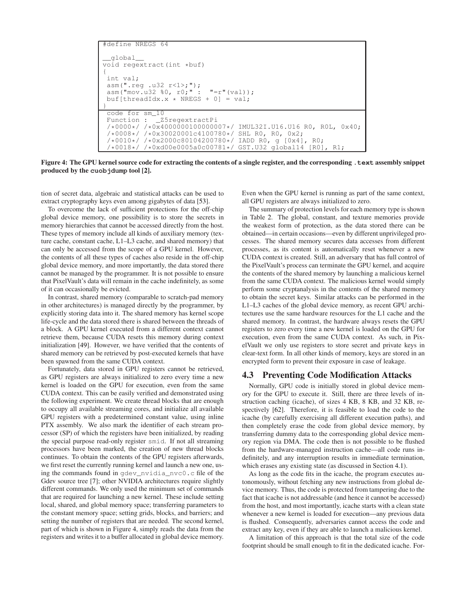```
#define NREGS 64
 __global__
void regextract(int *buf)
{
 int val;
asm(".reg .u32 r<1>;");
\lim_{n \to \infty} ("nov.u32 %0, r0;" : "=r"(val));
buf [threadIdx.x * NREGS + 0] = val;
}
 code for sm_10
Function : _Z5regextractPi
 /*0000*/ /*0x4000000100000007*/ IMUL32I.U16.U16 R0, R0L, 0x40;
 /*0008*/ /*0x30020001c4100780*/ SHL R0, R0, 0x2;
 /*0010*/ /*0x2000c80104200780*/ IADD R0, g [0x4], R0;
 /*0018*/ /*0xd00e0005a0c00781*/ GST.U32 global14 [R0], R1;
```
<span id="page-4-0"></span>**Figure 4: The GPU kernel source code for extracting the contents of a single register, and the corresponding .text assembly snippet produced by the cuobjdump tool [\[2\]](#page-10-12).**

tion of secret data, algebraic and statistical attacks can be used to extract cryptography keys even among gigabytes of data [\[53\]](#page-11-18).

To overcome the lack of sufficient protections for the off-chip global device memory, one possibility is to store the secrets in memory hierarchies that cannot be accessed directly from the host. These types of memory include all kinds of auxiliary memory (texture cache, constant cache, L1–L3 cache, and shared memory) that can only be accessed from the scope of a GPU kernel. However, the contents of all these types of caches also reside in the off-chip global device memory, and more importantly, the data stored there cannot be managed by the programmer. It is not possible to ensure that PixelVault's data will remain in the cache indefinitely, as some of it can occasionally be evicted.

In contrast, shared memory (comparable to scratch-pad memory in other architectures) is managed directly by the programmer, by explicitly storing data into it. The shared memory has kernel scope life-cycle and the data stored there is shared between the threads of a block. A GPU kernel executed from a different context cannot retrieve them, because CUDA resets this memory during context initialization [\[49\]](#page-11-19). However, we have verified that the contents of shared memory can be retrieved by post-executed kernels that have been spawned from the same CUDA context.

Fortunately, data stored in GPU registers cannot be retrieved, as GPU registers are always initialized to zero every time a new kernel is loaded on the GPU for execution, even from the same CUDA context. This can be easily verified and demonstrated using the following experiment. We create thread blocks that are enough to occupy all available streaming cores, and initialize all available GPU registers with a predetermined constant value, using inline PTX assembly. We also mark the identifier of each stream processor (SP) of which the registers have been initialized, by reading the special purpose read-only register smid. If not all streaming processors have been marked, the creation of new thread blocks continues. To obtain the contents of the GPU registers afterwards, we first reset the currently running kernel and launch a new one, using the commands found in gdev\_nvidia\_nvc0.c file of the Gdev source tree [\[7\]](#page-10-8); other NVIDIA architectures require slightly different commands. We only used the minimum set of commands that are required for launching a new kernel. These include setting local, shared, and global memory space; transferring parameters to the constant memory space; setting grids, blocks, and barriers; and setting the number of registers that are needed. The second kernel, part of which is shown in Figure [4,](#page-4-0) simply reads the data from the registers and writes it to a buffer allocated in global device memory.

Even when the GPU kernel is running as part of the same context, all GPU registers are always initialized to zero.

The summary of protection levels for each memory type is shown in Table [2.](#page-5-1) The global, constant, and texture memories provide the weakest form of protection, as the data stored there can be obtained—in certain occasions—even by different unprivileged processes. The shared memory secures data accesses from different processes, as its content is automatically reset whenever a new CUDA context is created. Still, an adversary that has full control of the PixelVault's process can terminate the GPU kernel, and acquire the contents of the shared memory by launching a malicious kernel from the same CUDA context. The malicious kernel would simply perform some cryptanalysis in the contents of the shared memory to obtain the secret keys. Similar attacks can be performed in the L1–L3 caches of the global device memory, as recent GPU architectures use the same hardware resources for the L1 cache and the shared memory. In contrast, the hardware always resets the GPU registers to zero every time a new kernel is loaded on the GPU for execution, even from the same CUDA context. As such, in PixelVault we only use registers to store secret and private keys in clear-text form. In all other kinds of memory, keys are stored in an encrypted form to prevent their exposure in case of leakage.

#### <span id="page-4-1"></span>**4.3 Preventing Code Modification Attacks**

Normally, GPU code is initially stored in global device memory for the GPU to execute it. Still, there are three levels of instruction caching (icache), of sizes 4 KB, 8 KB, and 32 KB, respectively [\[62\]](#page-11-20). Therefore, it is feasible to load the code to the icache (by carefully exercising all different execution paths), and then completely erase the code from global device memory, by transferring dummy data to the corresponding global device memory region via DMA. The code then is not possible to be flushed from the hardware-managed instruction cache—all code runs indefinitely, and any interruption results in immediate termination, which erases any existing state (as discussed in Section [4.1\)](#page-2-2).

As long as the code fits in the icache, the program executes autonomously, without fetching any new instructions from global device memory. Thus, the code is protected from tampering due to the fact that icache is not addressable (and hence it cannot be accessed) from the host, and most importantly, icache starts with a clean state whenever a new kernel is loaded for execution—any previous data is flushed. Consequently, adversaries cannot access the code and extract any key, even if they are able to launch a malicious kernel.

A limitation of this approach is that the total size of the code footprint should be small enough to fit in the dedicated icache. For-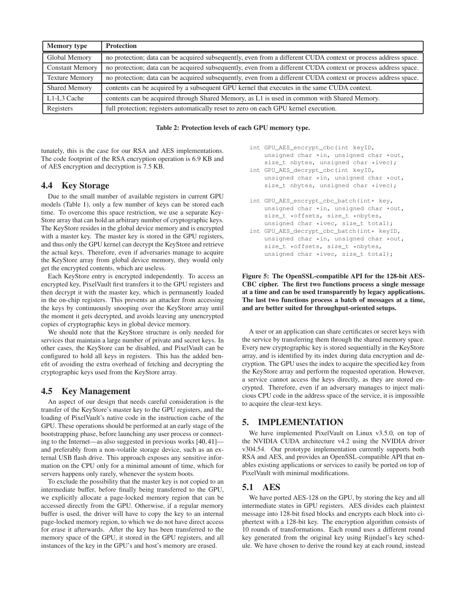| <b>Memory type</b>     | <b>Protection</b>                                                                                              |  |  |
|------------------------|----------------------------------------------------------------------------------------------------------------|--|--|
| Global Memory          | no protection; data can be acquired subsequently, even from a different CUDA context or process address space. |  |  |
| <b>Constant Memory</b> | no protection; data can be acquired subsequently, even from a different CUDA context or process address space. |  |  |
| <b>Texture Memory</b>  | no protection; data can be acquired subsequently, even from a different CUDA context or process address space. |  |  |
| Shared Memory          | contents can be acquired by a subsequent GPU kernel that executes in the same CUDA context.                    |  |  |
| L1-L3 Cache            | contents can be acquired through Shared Memory, as L1 is used in common with Shared Memory.                    |  |  |
| Registers              | full protection; registers automatically reset to zero on each GPU kernel execution.                           |  |  |

<span id="page-5-1"></span>**Table 2: Protection levels of each GPU memory type.**

tunately, this is the case for our RSA and AES implementations. The code footprint of the RSA encryption operation is 6.9 KB and of AES encryption and decryption is 7.5 KB.

## <span id="page-5-3"></span>**4.4 Key Storage**

Due to the small number of available registers in current GPU models (Table [1\)](#page-2-0), only a few number of keys can be stored each time. To overcome this space restriction, we use a separate Key-Store array that can hold an arbitrary number of cryptographic keys. The KeyStore resides in the global device memory and is encrypted with a master key. The master key is stored in the GPU registers, and thus only the GPU kernel can decrypt the KeyStore and retrieve the actual keys. Therefore, even if adversaries manage to acquire the KeyStore array from global device memory, they would only get the encrypted contents, which are useless.

Each KeyStore entry is encrypted independently. To access an encrypted key, PixelVault first transfers it to the GPU registers and then decrypt it with the master key, which is permanently loaded in the on-chip registers. This prevents an attacker from accessing the keys by continuously snooping over the KeyStore array until the moment it gets decrypted, and avoids leaving any unencrypted copies of cryptographic keys in global device memory.

We should note that the KeyStore structure is only needed for services that maintain a large number of private and secret keys. In other cases, the KeyStore can be disabled, and PixelVault can be configured to hold all keys in registers. This has the added benefit of avoiding the extra overhead of fetching and decrypting the cryptographic keys used from the KeyStore array.

# <span id="page-5-0"></span>**4.5 Key Management**

An aspect of our design that needs careful consideration is the transfer of the KeyStore's master key to the GPU registers, and the loading of PixelVault's native code in the instruction cache of the GPU. These operations should be performed at an early stage of the bootstrapping phase, before launching any user process or connecting to the Internet—as also suggested in previous works [\[40,](#page-11-21)[41\]](#page-11-3) and preferably from a non-volatile storage device, such as an external USB flash drive. This approach exposes any sensitive information on the CPU only for a minimal amount of time, which for servers happens only rarely, whenever the system boots.

To exclude the possibility that the master key is not copied to an intermediate buffer, before finally being transferred to the GPU, we explicitly allocate a page-locked memory region that can be accessed directly from the GPU. Otherwise, if a regular memory buffer is used, the driver will have to copy the key to an internal page-locked memory region, to which we do not have direct access for erase it afterwards. After the key has been transferred to the memory space of the GPU, it stored in the GPU registers, and all instances of the key in the GPU's and host's memory are erased.

#### int GPU\_AES\_encrypt\_cbc(int keyID, unsigned char \*in, unsigned char \*out, size\_t nbytes, unsigned char \*ivec);

- int GPU\_AES\_decrypt\_cbc(int keyID, unsigned char \*in, unsigned char \*out, size\_t nbytes, unsigned char \*ivec);
- int GPU\_AES\_encrypt\_cbc\_batch(int\* key, unsigned char \*in, unsigned char \*out, size\_t \*offsets, size\_t \*nbytes, unsigned char \*ivec, size\_t total);
- int GPU\_AES\_decrypt\_cbc\_batch(int\* keyID, unsigned char \*in, unsigned char \*out, size t \*offsets, size t \*nbytes, unsigned char \*ivec, size\_t total);

<span id="page-5-2"></span>**Figure 5: The OpenSSL-compatible API for the 128-bit AES-CBC cipher. The first two functions process a single message at a time and can be used transparently by legacy applications. The last two functions process a batch of messages at a time, and are better suited for throughput-oriented setups.**

A user or an application can share certificates or secret keys with the service by transferring them through the shared memory space. Every new cryptographic key is stored sequentially in the KeyStore array, and is identified by its index during data encryption and decryption. The GPU uses the index to acquire the specified key from the KeyStore array and perform the requested operation. However, a service cannot access the keys directly, as they are stored encrypted. Therefore, even if an adversary manages to inject malicious CPU code in the address space of the service, it is impossible to acquire the clear-text keys.

# **5. IMPLEMENTATION**

We have implemented PixelVault on Linux v3.5.0, on top of the NVIDIA CUDA architecture v4.2 using the NVIDIA driver v304.54. Our prototype implementation currently supports both RSA and AES, and provides an OpenSSL-compatible API that enables existing applications or services to easily be ported on top of PixelVault with minimal modifications.

#### **5.1 AES**

We have ported AES-128 on the GPU, by storing the key and all intermediate states in GPU registers. AES divides each plaintext message into 128-bit fixed blocks and encrypts each block into ciphertext with a 128-bit key. The encryption algorithm consists of 10 rounds of transformations. Each round uses a different round key generated from the original key using Rijndael's key schedule. We have chosen to derive the round key at each round, instead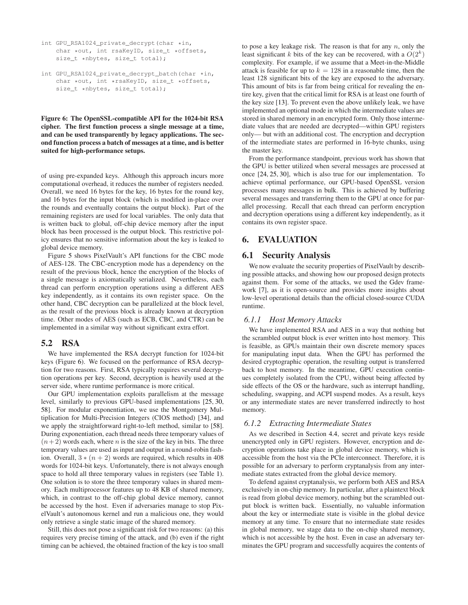- int GPU\_RSA1024\_private\_decrypt(char \*in, char \*out, int rsaKeyID, size\_t \*offsets, size\_t \*nbytes, size\_t total);
- int GPU\_RSA1024\_private\_decrypt\_batch(char \*in, char \*out, int \*rsaKeyID, size\_t \*offsets, size\_t \*nbytes, size\_t total);

<span id="page-6-0"></span>**Figure 6: The OpenSSL-compatible API for the 1024-bit RSA cipher. The first function process a single message at a time, and can be used transparently by legacy applications. The second function process a batch of messages at a time, and is better suited for high-performance setups.**

of using pre-expanded keys. Although this approach incurs more computational overhead, it reduces the number of registers needed. Overall, we need 16 bytes for the key, 16 bytes for the round key, and 16 bytes for the input block (which is modified in-place over the rounds and eventually contains the output block). Part of the remaining registers are used for local variables. The only data that is written back to global, off-chip device memory after the input block has been processed is the output block. This restrictive policy ensures that no sensitive information about the key is leaked to global device memory.

Figure [5](#page-5-2) shows PixelVault's API functions for the CBC mode of AES-128. The CBC-encryption mode has a dependency on the result of the previous block, hence the encryption of the blocks of a single message is axiomatically serialized. Nevertheless, each thread can perform encryption operations using a different AES key independently, as it contains its own register space. On the other hand, CBC decryption can be parallelized at the block level, as the result of the previous block is already known at decryption time. Other modes of AES (such as ECB, CBC, and CTR) can be implemented in a similar way without significant extra effort.

## **5.2 RSA**

We have implemented the RSA decrypt function for 1024-bit keys (Figure [6\)](#page-6-0). We focused on the performance of RSA decryption for two reasons. First, RSA typically requires several decryption operations per key. Second, decryption is heavily used at the server side, where runtime performance is more critical.

Our GPU implementation exploits parallelism at the message level, similarly to previous GPU-based implementations [\[25,](#page-11-22) [30,](#page-11-23) [58\]](#page-11-24). For modular exponentiation, we use the Montgomery Multiplication for Multi-Precision Integers (CIOS method) [\[34\]](#page-11-25), and we apply the straightforward right-to-left method, similar to [\[58\]](#page-11-24). During exponentiation, each thread needs three temporary values of  $(n+2)$  words each, where *n* is the size of the key in bits. The three temporary values are used as input and output in a round-robin fashion. Overall,  $3 * (n + 2)$  words are required, which results in 408 words for 1024-bit keys. Unfortunately, there is not always enough space to hold all three temporary values in registers (see Table [1\)](#page-2-0). One solution is to store the three temporary values in shared memory. Each multiprocessor features up to 48 KB of shared memory, which, in contrast to the off-chip global device memory, cannot be accessed by the host. Even if adversaries manage to stop PixelVault's autonomous kernel and run a malicious one, they would only retrieve a single static image of the shared memory.

Still, this does not pose a significant risk for two reasons: (a) this requires very precise timing of the attack, and (b) even if the right timing can be achieved, the obtained fraction of the key is too small to pose a key leakage risk. The reason is that for any  $n$ , only the least significant k bits of the key can be recovered, with a  $O(2^k)$ complexity. For example, if we assume that a Meet-in-the-Middle attack is feasible for up to  $k = 128$  in a reasonable time, then the least 128 significant bits of the key are exposed to the adversary. This amount of bits is far from being critical for revealing the entire key, given that the critical limit for RSA is at least one fourth of the key size [\[13\]](#page-10-13). To prevent even the above unlikely leak, we have implemented an optional mode in which the intermediate values are stored in shared memory in an encrypted form. Only those intermediate values that are needed are decrypted—within GPU registers only— but with an additional cost. The encryption and decryption of the intermediate states are performed in 16-byte chunks, using the master key.

From the performance standpoint, previous work has shown that the GPU is better utilized when several messages are processed at once [\[24,](#page-11-26) [25,](#page-11-22) [30\]](#page-11-23), which is also true for our implementation. To achieve optimal performance, our GPU-based OpenSSL version processes many messages in bulk. This is achieved by buffering several messages and transferring them to the GPU at once for parallel processing. Recall that each thread can perform encryption and decryption operations using a different key independently, as it contains its own register space.

# **6. EVALUATION**

#### **6.1 Security Analysis**

We now evaluate the security properties of PixelVault by describing possible attacks, and showing how our proposed design protects against them. For some of the attacks, we used the Gdev framework [\[7\]](#page-10-8), as it is open-source and provides more insights about low-level operational details than the official closed-source CUDA runtime.

#### *6.1.1 Host Memory Attacks*

We have implemented RSA and AES in a way that nothing but the scrambled output block is ever written into host memory. This is feasible, as GPUs maintain their own discrete memory spaces for manipulating input data. When the GPU has performed the desired cryptographic operation, the resulting output is transferred back to host memory. In the meantime, GPU execution continues completely isolated from the CPU, without being affected by side effects of the OS or the hardware, such as interrupt handling, scheduling, swapping, and ACPI suspend modes. As a result, keys or any intermediate states are never transferred indirectly to host memory.

#### *6.1.2 Extracting Intermediate States*

As we described in Section [4.4,](#page-5-3) secret and private keys reside unencrypted only in GPU registers. However, encryption and decryption operations take place in global device memory, which is accessible from the host via the PCIe interconnect. Therefore, it is possible for an adversary to perform cryptanalysis from any intermediate states extracted from the global device memory.

To defend against cryptanalysis, we perform both AES and RSA exclusively in on-chip memory. In particular, after a plaintext block is read from global device memory, nothing but the scrambled output block is written back. Essentially, no valuable information about the key or intermediate state is visible in the global device memory at any time. To ensure that no intermediate state resides in global memory, we stage data to the on-chip shared memory, which is not accessible by the host. Even in case an adversary terminates the GPU program and successfully acquires the contents of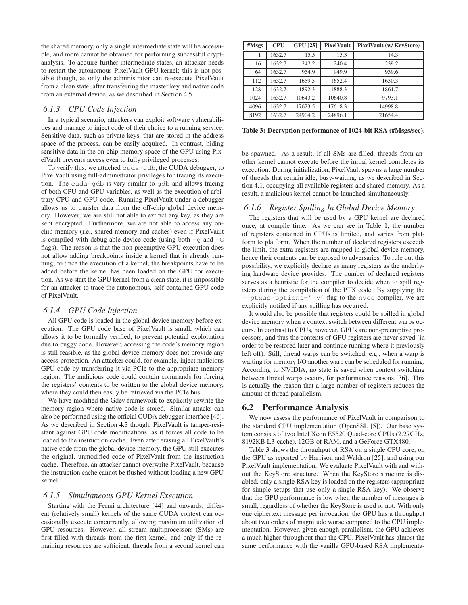the shared memory, only a single intermediate state will be accessible, and more cannot be obtained for performing successful cryptanalysis. To acquire further intermediate states, an attacker needs to restart the autonomous PixelVault GPU kernel; this is not possible though, as only the administrator can re-execute PixelVault from a clean state, after transferring the master key and native code from an external device, as we described in Section [4.5.](#page-5-0)

#### *6.1.3 CPU Code Injection*

In a typical scenario, attackers can exploit software vulnerabilities and manage to inject code of their choice to a running service. Sensitive data, such as private keys, that are stored in the address space of the process, can be easily acquired. In contrast, hiding sensitive data in the on-chip memory space of the GPU using PixelVault prevents access even to fully privileged processes.

To verify this, we attached cuda-gdb, the CUDA debugger, to PixelVault using full-administrator privileges for tracing its execution. The cuda-gdb is very similar to gdb and allows tracing of both CPU and GPU variables, as well as the execution of arbitrary CPU and GPU code. Running PixelVault under a debugger allows us to transfer data from the off-chip global device memory. However, we are still not able to extract any key, as they are kept encrypted. Furthermore, we are not able to access any onchip memory (i.e., shared memory and caches) even if PixelVault is compiled with debug-able device code (using both  $-g$  and  $-G$ flags). The reason is that the non-preemptive GPU execution does not allow adding breakpoints inside a kernel that is already running; to trace the execution of a kernel, the breakpoints have to be added before the kernel has been loaded on the GPU for execution. As we start the GPU kernel from a clean state, it is impossible for an attacker to trace the autonomous, self-contained GPU code of PixelVault.

#### *6.1.4 GPU Code Injection*

All GPU code is loaded in the global device memory before execution. The GPU code base of PixelVault is small, which can allows it to be formally verified, to prevent potential exploitation due to buggy code. However, accessing the code's memory region is still feasible, as the global device memory does not provide any access protection. An attacker could, for example, inject malicious GPU code by transferring it via PCIe to the appropriate memory region. The malicious code could contain commands for forcing the registers' contents to be written to the global device memory, where they could then easily be retrieved via the PCIe bus.

We have modified the Gdev framework to explicitly rewrite the memory region where native code is stored. Similar attacks can also be performed using the official CUDA debugger interface [\[46\]](#page-11-27). As we described in Section [4.3](#page-4-1) though, PixelVault is tamper-resistant against GPU code modifications, as it forces all code to be loaded to the instruction cache. Even after erasing all PixelVault's native code from the global device memory, the GPU still executes the original, unmodified code of PixelVault from the instruction cache. Therefore, an attacker cannot overwrite PixelVault, because the instruction cache cannot be flushed without loading a new GPU kernel.

#### *6.1.5 Simultaneous GPU Kernel Execution*

Starting with the Fermi architecture [\[44\]](#page-11-28) and onwards, different (relatively small) kernels of the same CUDA context can occasionally execute concurrently, allowing maximum utilization of GPU resources. However, all stream multiprocessors (SMs) are first filled with threads from the first kernel, and only if the remaining resources are sufficient, threads from a second kernel can

| #Msgs | <b>CPU</b> | <b>GPU</b> [25] | <b>PixelVault</b> | PixelVault (w/ KeyStore) |
|-------|------------|-----------------|-------------------|--------------------------|
|       | 1632.7     | 15.5            | 15.3              | 14.3                     |
| 16    | 1632.7     | 242.2           | 240.4             | 239.2                    |
| 64    | 1632.7     | 954.9           | 949.9             | 939.6                    |
| 112   | 1632.7     | 1659.5          | 1652.4            | 1630.3                   |
| 128   | 1632.7     | 1892.3          | 1888.3            | 1861.7                   |
| 1024  | 1632.7     | 10643.2         | 10640.8           | 9793.1                   |
| 4096  | 1632.7     | 17623.5         | 17618.3           | 14998.8                  |
| 8192  | 1632.7     | 24904.2         | 24896.1           | 21654.4                  |

<span id="page-7-0"></span>**Table 3: Decryption performance of 1024-bit RSA (#Msgs/sec).**

be spawned. As a result, if all SMs are filled, threads from another kernel cannot execute before the initial kernel completes its execution. During initialization, PixelVault spawns a large number of threads that remain idle, busy-waiting, as we described in Section [4.1,](#page-2-2) occupying all available registers and shared memory. As a result, a malicious kernel cannot be launched simultaneously.

#### *6.1.6 Register Spilling In Global Device Memory*

The registers that will be used by a GPU kernel are declared once, at compile time. As we can see in Table [1,](#page-2-0) the number of registers contained in GPUs is limited, and varies from platform to platform. When the number of declared registers exceeds the limit, the extra registers are mapped in global device memory, hence their contents can be exposed to adversaries. To rule out this possibility, we explicitly declare as many registers as the underlying hardware device provides. The number of declared registers serves as a heuristic for the compiler to decide when to spill registers during the compilation of the PTX code. By supplying the  $-$ ptxas-options='- $v'$  flag to the nvcc compiler, we are explicitly notified if any spilling has occurred.

It would also be possible that registers could be spilled in global device memory when a context switch between different warps occurs. In contrast to CPUs, however, GPUs are non-preemptive processors, and thus the contents of GPU registers are never saved (in order to be restored later and continue running where it previously left off). Still, thread warps can be switched, e.g., when a warp is waiting for memory I/O another warp can be scheduled for running. According to NVIDIA, no state is saved when context switching between thread warps occurs, for performance reasons [\[36\]](#page-11-29). This is actually the reason that a large number of registers reduces the amount of thread parallelism.

## **6.2 Performance Analysis**

We now assess the performance of PixelVault in comparison to the standard CPU implementation (OpenSSL [\[5\]](#page-10-14)). Our base system consists of two Intel Xeon E5520 Quad-core CPUs (2.27GHz, 8192KB L3-cache), 12GB of RAM, and a GeForce GTX480.

Table [3](#page-7-0) shows the throughput of RSA on a single CPU core, on the GPU as reported by Harrison and Waldron [\[25\]](#page-11-22), and using our PixelVault implementation. We evaluate PixelVault with and without the KeyStore structure. When the KeyStore structure is disabled, only a single RSA key is loaded on the registers (appropriate for simple setups that use only a single RSA key). We observe that the GPU performance is low when the number of messages is small, regardless of whether the KeyStore is used or not. With only one ciphertext message per invocation, the GPU has a throughput about two orders of magnitude worse compared to the CPU implementation. However, given enough parallelism, the GPU achieves a much higher throughput than the CPU. PixelVault has almost the same performance with the vanilla GPU-based RSA implementa-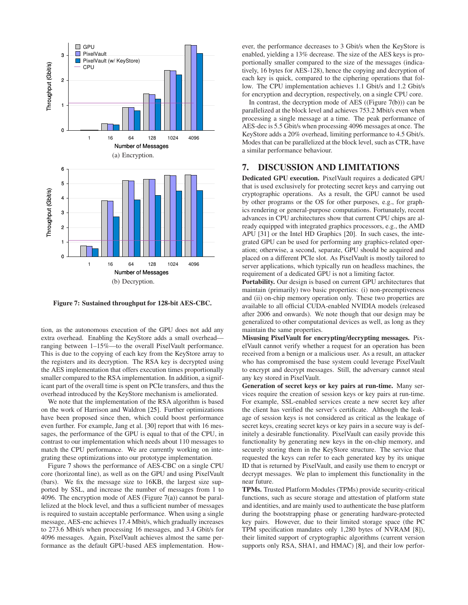<span id="page-8-1"></span>

<span id="page-8-2"></span><span id="page-8-0"></span>**Figure 7: Sustained throughput for 128-bit AES-CBC.**

tion, as the autonomous execution of the GPU does not add any extra overhead. Enabling the KeyStore adds a small overhead ranging between 1–15%—to the overall PixelVault performance. This is due to the copying of each key from the KeyStore array to the registers and its decryption. The RSA key is decrypted using the AES implementation that offers execution times proportionally smaller compared to the RSA implementation. In addition, a significant part of the overall time is spent on PCIe transfers, and thus the overhead introduced by the KeyStore mechanism is ameliorated.

We note that the implementation of the RSA algorithm is based on the work of Harrison and Waldron [\[25\]](#page-11-22). Further optimizations have been proposed since then, which could boost performance even further. For example, Jang et al. [\[30\]](#page-11-23) report that with 16 messages, the performance of the GPU is equal to that of the CPU, in contrast to our implementation which needs about 110 messages to match the CPU performance. We are currently working on integrating these optimizations into our prototype implementation.

Figure [7](#page-8-0) shows the performance of AES-CBC on a single CPU core (horizontal line), as well as on the GPU and using PixelVault (bars). We fix the message size to 16KB, the largest size supported by SSL, and increase the number of messages from 1 to 4096. The encryption mode of AES (Figure [7\(a\)\)](#page-8-1) cannot be parallelized at the block level, and thus a sufficient number of messages is required to sustain acceptable performance. When using a single message, AES-enc achieves 17.4 Mbit/s, which gradually increases to 273.6 Mbit/s when processing 16 messages, and 3.4 Gbit/s for 4096 messages. Again, PixelVault achieves almost the same performance as the default GPU-based AES implementation. However, the performance decreases to 3 Gbit/s when the KeyStore is enabled, yielding a 13% decrease. The size of the AES keys is proportionally smaller compared to the size of the messages (indicatively, 16 bytes for AES-128), hence the copying and decryption of each key is quick, compared to the ciphering operations that follow. The CPU implementation achieves 1.1 Gbit/s and 1.2 Gbit/s for encryption and decryption, respectively, on a single CPU core.

In contrast, the decryption mode of AES ((Figure  $7(b)$ )) can be parallelized at the block level and achieves 753.2 Mbit/s even when processing a single message at a time. The peak performance of AES-dec is 5.5 Gbit/s when processing 4096 messages at once. The KeyStore adds a 20% overhead, limiting performance to 4.5 Gbit/s. Modes that can be parallelized at the block level, such as CTR, have a similar performance behaviour.

# **7. DISCUSSION AND LIMITATIONS**

**Dedicated GPU execution.** PixelVault requires a dedicated GPU that is used exclusively for protecting secret keys and carrying out cryptographic operations. As a result, the GPU cannot be used by other programs or the OS for other purposes, e.g., for graphics rendering or general-purpose computations. Fortunately, recent advances in CPU architectures show that current CPU chips are already equipped with integrated graphics processors, e.g., the AMD APU [\[31\]](#page-11-30) or the Intel HD Graphics [\[20\]](#page-10-15). In such cases, the integrated GPU can be used for performing any graphics-related operation; otherwise, a second, separate, GPU should be acquired and placed on a different PCIe slot. As PixelVault is mostly tailored to server applications, which typically run on headless machines, the requirement of a dedicated GPU is not a limiting factor.

**Portability.** Our design is based on current GPU architectures that maintain (primarily) two basic properties: (i) non-preemptiveness and (ii) on-chip memory operation only. These two properties are available to all official CUDA-enabled NVIDIA models (released after 2006 and onwards). We note though that our design may be generalized to other computational devices as well, as long as they maintain the same properties.

**Misusing PixelVault for encrypting/decrypting messages.** PixelVault cannot verify whether a request for an operation has been received from a benign or a malicious user. As a result, an attacker who has compromised the base system could leverage PixelVault to encrypt and decrypt messages. Still, the adversary cannot steal any key stored in PixelVault.

**Generation of secret keys or key pairs at run-time.** Many services require the creation of session keys or key pairs at run-time. For example, SSL-enabled services create a new secret key after the client has verified the server's certificate. Although the leakage of session keys is not considered as critical as the leakage of secret keys, creating secret keys or key pairs in a secure way is definitely a desirable functionality. PixelVault can easily provide this functionality by generating new keys in the on-chip memory, and securely storing them in the KeyStore structure. The service that requested the keys can refer to each generated key by its unique ID that is returned by PixelVault, and easily use them to encrypt or decrypt messages. We plan to implement this functionality in the near future.

**TPMs.** Trusted Platform Modules (TPMs) provide security-critical functions, such as secure storage and attestation of platform state and identities, and are mainly used to authenticate the base platform during the bootstrapping phase or generating hardware-protected key pairs. However, due to their limited storage space (the PC TPM specification mandates only 1,280 bytes of NVRAM [\[8\]](#page-10-5)), their limited support of cryptographic algorithms (current version supports only RSA, SHA1, and HMAC) [\[8\]](#page-10-5), and their low perfor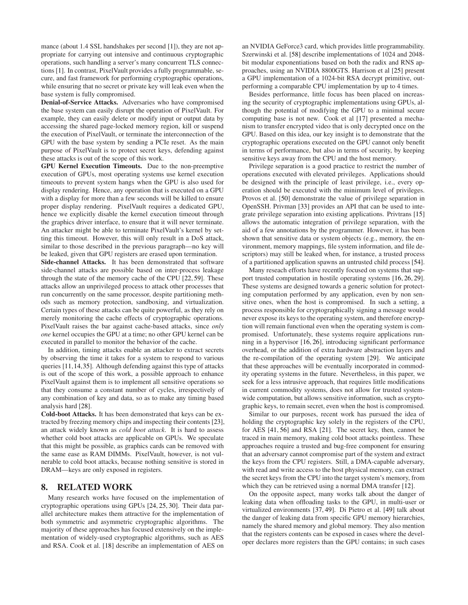mance (about 1.4 SSL handshakes per second [\[1\]](#page-10-6)), they are not appropriate for carrying out intensive and continuous cryptographic operations, such handling a server's many concurrent TLS connections [\[1\]](#page-10-6). In contrast, PixelVault provides a fully programmable, secure, and fast framework for performing cryptographic operations, while ensuring that no secret or private key will leak even when the base system is fully compromised.

**Denial-of-Service Attacks.** Adversaries who have compromised the base system can easily disrupt the operation of PixelVault. For example, they can easily delete or modify input or output data by accessing the shared page-locked memory region, kill or suspend the execution of PixelVault, or terminate the interconnection of the GPU with the base system by sending a PCIe reset. As the main purpose of PixelVault is to protect secret keys, defending against these attacks is out of the scope of this work.

**GPU Kernel Execution Timeouts.** Due to the non-preemptive execution of GPUs, most operating systems use kernel execution timeouts to prevent system hangs when the GPU is also used for display rendering. Hence, any operation that is executed on a GPU with a display for more than a few seconds will be killed to ensure proper display rendering. PixelVault requires a dedicated GPU, hence we explicitly disable the kernel execution timeout through the graphics driver interface, to ensure that it will never terminate. An attacker might be able to terminate PixelVault's kernel by setting this timeout. However, this will only result in a DoS attack, similar to those described in the previous paragraph—no key will be leaked, given that GPU registers are erased upon termination.

**Side-channel Attacks.** It has been demonstrated that software side-channel attacks are possible based on inter-process leakage through the state of the memory cache of the CPU [\[22,](#page-10-16) [59\]](#page-11-31). These attacks allow an unprivileged process to attack other processes that run concurrently on the same processor, despite partitioning methods such as memory protection, sandboxing, and virtualization. Certain types of these attacks can be quite powerful, as they rely on merely monitoring the cache effects of cryptographic operations. PixelVault raises the bar against cache-based attacks, since *only one* kernel occupies the GPU at a time; no other GPU kernel can be executed in parallel to monitor the behavior of the cache.

In addition, timing attacks enable an attacker to extract secrets by observing the time it takes for a system to respond to various queries [\[11,](#page-10-17)[14](#page-10-18)[,35\]](#page-11-32). Although defending against this type of attacks is out of the scope of this work, a possible approach to enhance PixelVault against them is to implement all sensitive operations so that they consume a constant number of cycles, irrespectively of any combination of key and data, so as to make any timing based analysis hard [\[28\]](#page-11-33).

**Cold-boot Attacks.** It has been demonstrated that keys can be extracted by freezing memory chips and inspecting their contents [\[23\]](#page-11-2), an attack widely known as *cold boot attack*. It is hard to assess whether cold boot attacks are applicable on GPUs. We speculate that this might be possible, as graphics cards can be removed with the same ease as RAM DIMMs. PixelVault, however, is not vulnerable to cold boot attacks, because nothing sensitive is stored in DRAM—keys are only exposed in registers.

## **8. RELATED WORK**

Many research works have focused on the implementation of cryptographic operations using GPUs [\[24,](#page-11-26) [25,](#page-11-22) [30\]](#page-11-23). Their data parallel architecture makes them attractive for the implementation of both symmetric and asymmetric cryptographic algorithms. The majority of these approaches has focused extensively on the implementation of widely-used cryptographic algorithms, such as AES and RSA. Cook et al. [\[18\]](#page-10-19) describe an implementation of AES on

an NVIDIA GeForce3 card, which provides little programmability. Szerwinski et al. [\[58\]](#page-11-24) describe implementations of 1024 and 2048 bit modular exponentiations based on both the radix and RNS approaches, using an NVIDIA 8800GTS. Harrison et al [\[25\]](#page-11-22) present a GPU implementation of a 1024-bit RSA decrypt primitive, outperforming a comparable CPU implementation by up to 4 times.

Besides performance, little focus has been placed on increasing the security of cryptographic implementations using GPUs, although the potential of modifying the GPU to a minimal secure computing base is not new. Cook et al [\[17\]](#page-10-20) presented a mechanism to transfer encrypted video that is only decrypted once on the GPU. Based on this idea, our key insight is to demonstrate that the cryptographic operations executed on the GPU cannot only benefit in terms of performance, but also in terms of security, by keeping sensitive keys away from the CPU and the host memory.

Privilege separation is a good practice to restrict the number of operations executed with elevated privileges. Applications should be designed with the principle of least privilege, i.e., every operation should be executed with the minimum level of privileges. Provos et al. [\[50\]](#page-11-34) demonstrate the value of privilege separation in OpenSSH. Privman [\[33\]](#page-11-35) provides an API that can be used to integrate privilege separation into existing applications. Privtrans [\[15\]](#page-10-21) allows the automatic integration of privilege separation, with the aid of a few annotations by the programmer. However, it has been shown that sensitive data or system objects (e.g., memory, the environment, memory mappings, file system information, and file descriptors) may still be leaked when, for instance, a trusted process of a partitioned application spawns an untrusted child process [\[54\]](#page-11-36).

Many reseach efforts have recently focused on systems that support trusted computation in hostile operating systems [\[16,](#page-10-4) [26,](#page-11-5) [29\]](#page-11-6). These systems are designed towards a generic solution for protecting computation performed by any application, even by non sensitive ones, when the host is compromised. In such a setting, a process responsible for cryptographically signing a message would never expose its keys to the operating system, and therefore encryption will remain functional even when the operating system is compromised. Unfortunately, these systems require applications running in a hypervisor [\[16,](#page-10-4) [26\]](#page-11-5), introducing significant performance overhead, or the addition of extra hardware abstraction layers and the re-compilation of the operating system [\[29\]](#page-11-6). We anticipate that these approaches will be eventually incorporated in commodity operating systems in the future. Nevertheless, in this paper, we seek for a less intrusive approach, that requires little modifications in current commodity systems, does not allow for trusted systemwide computation, but allows sensitive information, such as cryptographic keys, to remain secret, even when the host is compromised.

Similar to our purposes, recent work has pursued the idea of holding the cryptographic key solely in the registers of the CPU, for AES [\[41,](#page-11-3) [56\]](#page-11-4) and RSA [\[21\]](#page-10-2). The secret key, then, cannot be traced in main memory, making cold boot attacks pointless. These approaches require a trusted and bug-free component for ensuring that an adversary cannot compromise part of the system and extract the keys from the CPU registers. Still, a DMA-capable adversary, with read and write access to the host physical memory, can extract the secret keys from the CPU into the target system's memory, from which they can be retrieved using a normal DMA transfer [\[12\]](#page-10-3).

On the opposite aspect, many works talk about the danger of leaking data when offloading tasks to the GPU, in multi-user or virtualized environments [\[37,](#page-11-37) [49\]](#page-11-19). Di Pietro et al. [\[49\]](#page-11-19) talk about the danger of leaking data from specific GPU memory hierarchies, namely the shared memory and global memory. They also mention that the registers contents can be exposed in cases where the developer declares more registers than the GPU contains; in such cases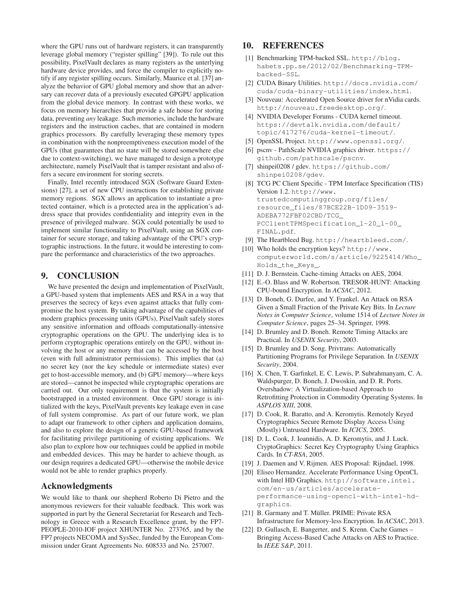where the GPU runs out of hardware registers, it can transparently leverage global memory ("register spilling" [\[39\]](#page-11-38)). To rule out this possibility, PixelVault declares as many registers as the unterlying hardware device provides, and force the compiler to explicitly notify if any register spilling occurs. Similarly, Maurice et al. [\[37\]](#page-11-37) analyze the behavior of GPU global memory and show that an adversary can recover data of a previously executed GPGPU application from the global device memory. In contrast with these works, we focus on memory hierarchies that provide a safe house for storing data, preventing *any* leakage. Such memories, include the hardware registers and the instruction caches, that are contained in modern graphics processors. By carefully leveraging these memory types in combination with the nonpreemptiveness execution model of the GPUs (that guarantees that no state will be stored somewhere else due to context-switching), we have managed to design a prototype architecture, namely PixelVault that is tamper resistant and also offers a secure environment for storing secrets.

Finally, Intel recently introduced SGX (Software Guard Extensions) [\[27\]](#page-11-39), a set of new CPU instructions for establishing private memory regions. SGX allows an application to instantiate a protected container, which is a protected area in the application's address space that provides confidentiality and integrity even in the presence of privileged malware. SGX could potentially be used to implement similar functionality to PixelVault, using an SGX container for secure storage, and taking advantage of the CPU's cryptographic instructions. In the future, it would be interesting to compare the performance and characteristics of the two approaches.

## **9. CONCLUSION**

We have presented the design and implementation of PixelVault, a GPU-based system that implements AES and RSA in a way that preserves the secrecy of keys even against attacks that fully compromise the host system. By taking advantage of the capabilities of modern graphics processing units (GPUs), PixelVault safely stores any sensitive information and offloads computationally-intensive cryptographic operations on the GPU. The underlying idea is to perform cryptographic operations entirely on the GPU, without involving the host or any memory that can be accessed by the host (even with full administrator permissions). This implies that (a) no secret key (nor the key schedule or intermediate states) ever get to host-accessible memory, and (b) GPU memory—where keys are stored—cannot be inspected while cryptographic operations are carried out. Our only requirement is that the system is initially bootstrapped in a trusted environment. Once GPU storage is initialized with the keys, PixelVault prevents key leakage even in case of full system compromise. As part of our future work, we plan to adapt our framework to other ciphers and application domains, and also to explore the design of a generic GPU-based framework for facilitating privilege partitioning of existing applications. We also plan to explore how our techniques could be applied in mobile and embedded devices. This may be harder to achieve though, as our design requires a dedicated GPU—otherwise the mobile device would not be able to render graphics properly.

#### **Acknowledgments**

We would like to thank our shepherd Roberto Di Pietro and the anonymous reviewers for their valuable feedback. This work was supported in part by the General Secretariat for Research and Technology in Greece with a Research Excellence grant, by the FP7- PEOPLE-2010-IOF project XHUNTER No. 273765, and by the FP7 projects NECOMA and SysSec, funded by the European Commission under Grant Agreements No. 608533 and No. 257007.

# <span id="page-10-6"></span>**10. REFERENCES**

- [1] Benchmarking TPM-backed SSL. [http://blog.](http://blog.habets.pp.se/2012/02/Benchmarking-TPM-backed-SSL) [habets.pp.se/2012/02/Benchmarking-TPM](http://blog.habets.pp.se/2012/02/Benchmarking-TPM-backed-SSL)[backed-SSL](http://blog.habets.pp.se/2012/02/Benchmarking-TPM-backed-SSL).
- <span id="page-10-12"></span>[2] CUDA Binary Utilities. [http://docs.nvidia.com/](http://docs.nvidia.com/cuda/cuda-binary-utilities/index.html) [cuda/cuda-binary-utilities/index.html](http://docs.nvidia.com/cuda/cuda-binary-utilities/index.html).
- <span id="page-10-9"></span>[3] Nouveau: Accelerated Open Source driver for nVidia cards. <http://nouveau.freedesktop.org/>.
- <span id="page-10-11"></span>[4] NVIDIA Developer Forums - CUDA kernel timeout. [https://devtalk.nvidia.com/default/](https://devtalk.nvidia.com/default/topic/417276/cuda-kernel-timeout/) [topic/417276/cuda-kernel-timeout/](https://devtalk.nvidia.com/default/topic/417276/cuda-kernel-timeout/).
- <span id="page-10-14"></span><span id="page-10-10"></span>[5] OpenSSL Project. <http://www.openssl.org/>.
- [6] pscnv PathScale NVIDIA graphics driver. [https://](https://github.com/pathscale/pscnv) [github.com/pathscale/pscnv](https://github.com/pathscale/pscnv).
- <span id="page-10-8"></span>[7] shinpei0208 / gdev. [https://github.com/](https://github.com/shinpei0208/gdev) [shinpei0208/gdev](https://github.com/shinpei0208/gdev).
- <span id="page-10-5"></span>[8] TCG PC Client Specific - TPM Interface Specification (TIS) Version 1.2. [http://www.](http://www.trustedcomputinggroup.org/files/resource_files/87BCE22B-1D09-3519-ADEBA772FBF02CBD/TCG_PCClientTPMSpecification_1-20_1-00_FINAL.pdf) [trustedcomputinggroup.org/files/](http://www.trustedcomputinggroup.org/files/resource_files/87BCE22B-1D09-3519-ADEBA772FBF02CBD/TCG_PCClientTPMSpecification_1-20_1-00_FINAL.pdf) [resource\\_files/87BCE22B-1D09-3519-](http://www.trustedcomputinggroup.org/files/resource_files/87BCE22B-1D09-3519-ADEBA772FBF02CBD/TCG_PCClientTPMSpecification_1-20_1-00_FINAL.pdf) [ADEBA772FBF02CBD/TCG\\_](http://www.trustedcomputinggroup.org/files/resource_files/87BCE22B-1D09-3519-ADEBA772FBF02CBD/TCG_PCClientTPMSpecification_1-20_1-00_FINAL.pdf) [PCClientTPMSpecification\\_1-20\\_1-00\\_](http://www.trustedcomputinggroup.org/files/resource_files/87BCE22B-1D09-3519-ADEBA772FBF02CBD/TCG_PCClientTPMSpecification_1-20_1-00_FINAL.pdf) [FINAL.pdf](http://www.trustedcomputinggroup.org/files/resource_files/87BCE22B-1D09-3519-ADEBA772FBF02CBD/TCG_PCClientTPMSpecification_1-20_1-00_FINAL.pdf).
- <span id="page-10-1"></span><span id="page-10-0"></span>[9] The Heartbleed Bug. <http://heartbleed.com/>.
- [10] Who holds the encryption keys? [http://www.](http://www.computerworld.com/s/article/9225414/Who_Holds_the_Keys_) [computerworld.com/s/article/9225414/Who\\_](http://www.computerworld.com/s/article/9225414/Who_Holds_the_Keys_) [Holds\\_the\\_Keys\\_](http://www.computerworld.com/s/article/9225414/Who_Holds_the_Keys_).
- <span id="page-10-17"></span><span id="page-10-3"></span>[11] D. J. Bernstein. Cache-timing Attacks on AES, 2004.
- [12] E.-O. Blass and W. Robertson. TRESOR-HUNT: Attacking CPU-bound Encryption. In *ACSAC*, 2012.
- <span id="page-10-13"></span>[13] D. Boneh, G. Durfee, and Y. Frankel. An Attack on RSA Given a Small Fraction of the Private Key Bits. In *Lecture Notes in Computer Science*, volume 1514 of *Lecture Notes in Computer Science*, pages 25–34. Springer, 1998.
- <span id="page-10-18"></span>[14] D. Brumley and D. Boneh. Remote Timing Attacks are Practical. In *USENIX Security*, 2003.
- <span id="page-10-21"></span>[15] D. Brumley and D. Song. Privtrans: Automatically Partitioning Programs for Privilege Separation. In *USENIX Security*, 2004.
- <span id="page-10-4"></span>[16] X. Chen, T. Garfinkel, E. C. Lewis, P. Subrahmanyam, C. A. Waldspurger, D. Boneh, J. Dwoskin, and D. R. Ports. Overshadow: A Virtualization-based Approach to Retrofitting Protection in Commodity Operating Systems. In *ASPLOS XIII*, 2008.
- <span id="page-10-20"></span>[17] D. Cook, R. Baratto, and A. Keromytis. Remotely Keyed Cryptographics Secure Remote Display Access Using (Mostly) Untrusted Hardware. In *ICICS*, 2005.
- <span id="page-10-19"></span>[18] D. L. Cook, J. Ioannidis, A. D. Keromytis, and J. Luck. CryptoGraphics: Secret Key Cryptography Using Graphics Cards. In *CT-RSA*, 2005.
- <span id="page-10-15"></span><span id="page-10-7"></span>[19] J. Daemen and V. Rijmen. AES Proposal: Rijndael, 1998.
- [20] Eliseo Hernandez. Accelerate Performance Using OpenCL with Intel HD Graphics. [http://software.intel.](http://software.intel.com/en-us/articles/accelerate-performance-using-opencl-with-intel-hd-graphics) [com/en-us/articles/accelerate](http://software.intel.com/en-us/articles/accelerate-performance-using-opencl-with-intel-hd-graphics)[performance-using-opencl-with-intel-hd](http://software.intel.com/en-us/articles/accelerate-performance-using-opencl-with-intel-hd-graphics)[graphics](http://software.intel.com/en-us/articles/accelerate-performance-using-opencl-with-intel-hd-graphics).
- <span id="page-10-2"></span>[21] B. Garmany and T. Müller. PRIME: Private RSA Infrastructure for Memory-less Encryption. In *ACSAC*, 2013.
- <span id="page-10-16"></span>[22] D. Gullasch, E. Bangerter, and S. Krenn. Cache Games – Bringing Access-Based Cache Attacks on AES to Practice. In *IEEE S&P*, 2011.